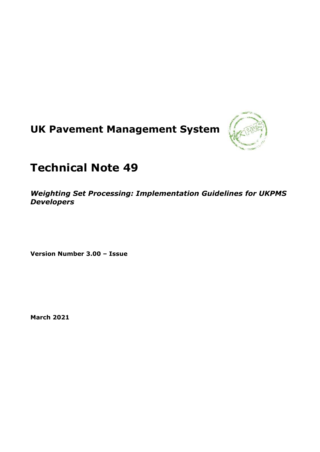# **UK Pavement Management System**



## **Technical Note 49**

*Weighting Set Processing: Implementation Guidelines for UKPMS Developers*

**Version Number 3.00 – Issue**

**March 2021**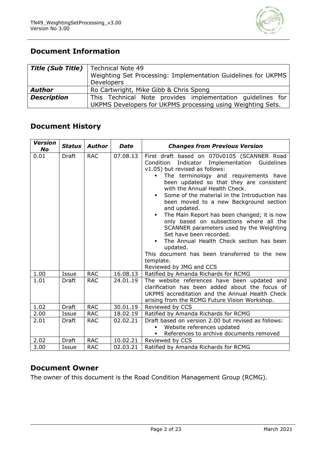

## **Document Information**

|                    | <b>Title (Sub Title)</b>   Technical Note 49<br>Weighting Set Processing: Implementation Guidelines for UKPMS<br>Developers |
|--------------------|-----------------------------------------------------------------------------------------------------------------------------|
| <b>Author</b>      | Ro Cartwright, Mike Gibb & Chris Spong                                                                                      |
| <b>Description</b> | This Technical Note provides implementation quidelines for<br>UKPMS Developers for UKPMS processing using Weighting Sets.   |

## **Document History**

| <b>Version</b><br><b>No</b> | <b>Status</b> | <b>Author</b> | <b>Date</b> | <b>Changes from Previous Version</b>                                                                                                                                                                                                                                                                                                                                                                                                                                                                                                                                                                                                                                                          |
|-----------------------------|---------------|---------------|-------------|-----------------------------------------------------------------------------------------------------------------------------------------------------------------------------------------------------------------------------------------------------------------------------------------------------------------------------------------------------------------------------------------------------------------------------------------------------------------------------------------------------------------------------------------------------------------------------------------------------------------------------------------------------------------------------------------------|
| 0.01                        | Draft         | <b>RAC</b>    | 07.08.13    | First draft based on 070v0105 (SCANNER Road<br>Indicator Implementation Guidelines<br>Condition<br>v1.05) but revised as follows:<br>The terminology and requirements have<br>been updated so that they are consistent<br>with the Annual Health Check.<br>Some of the material in the Introduction has<br>٠<br>been moved to a new Background section<br>and updated.<br>The Main Report has been changed; it is now<br>٠<br>only based on subsections where all the<br>SCANNER parameters used by the Weighting<br>Set have been recorded.<br>The Annual Health Check section has been<br>updated.<br>This document has been transferred to the new<br>template.<br>Reviewed by JMG and CCS |
| 1.00                        | Issue         | <b>RAC</b>    | 16.08.13    | Ratified by Amanda Richards for RCMG                                                                                                                                                                                                                                                                                                                                                                                                                                                                                                                                                                                                                                                          |
| 1.01                        | Draft         | <b>RAC</b>    | 24.01.19    | The website references have been updated and<br>clarification has been added about the focus of<br>UKPMS accreditation and the Annual Health Check<br>arising from the RCMG Future Vision Workshop.                                                                                                                                                                                                                                                                                                                                                                                                                                                                                           |
| 1.02                        | <b>Draft</b>  | <b>RAC</b>    | 30.01.19    | Reviewed by CCS                                                                                                                                                                                                                                                                                                                                                                                                                                                                                                                                                                                                                                                                               |
| 2.00                        | Issue         | <b>RAC</b>    | 18.02.19    | Ratified by Amanda Richards for RCMG                                                                                                                                                                                                                                                                                                                                                                                                                                                                                                                                                                                                                                                          |
| 2.01                        | Draft         | <b>RAC</b>    | 02.02.21    | Draft based on version 2.00 but revised as follows:<br>Website references updated<br>References to archive documents removed                                                                                                                                                                                                                                                                                                                                                                                                                                                                                                                                                                  |
| 2.02                        | <b>Draft</b>  | <b>RAC</b>    | 10.02.21    | Reviewed by CCS                                                                                                                                                                                                                                                                                                                                                                                                                                                                                                                                                                                                                                                                               |
| 3.00                        | Issue         | <b>RAC</b>    | 02.03.21    | Ratified by Amanda Richards for RCMG                                                                                                                                                                                                                                                                                                                                                                                                                                                                                                                                                                                                                                                          |

## **Document Owner**

The owner of this document is the Road Condition Management Group (RCMG).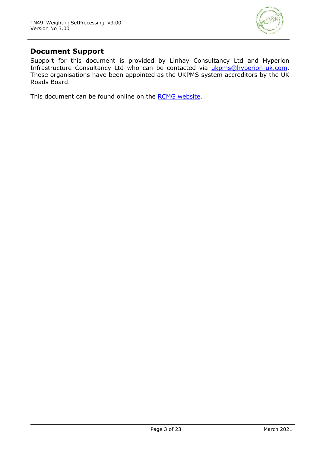

## **Document Support**

Support for this document is provided by Linhay Consultancy Ltd and Hyperion Infrastructure Consultancy Ltd who can be contacted via [ukpms@hyperion-uk.com.](mailto:ukpms@hyperion-uk.com) These organisations have been appointed as the UKPMS system accreditors by the UK Roads Board.

This document can be found online on the [RCMG website.](https://www.ciht.org.uk/ukrlg-home/guidance/road-condition-information/data-management/uk-pavement-management-system-ukpms/)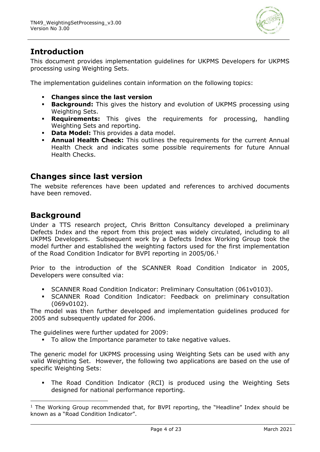

## **Introduction**

This document provides implementation guidelines for UKPMS Developers for UKPMS processing using Weighting Sets.

The implementation guidelines contain information on the following topics:

- **Changes since the last version**
- **Background:** This gives the history and evolution of UKPMS processing using Weighting Sets.
- **Requirements:** This gives the requirements for processing, handling Weighting Sets and reporting.
- **Data Model:** This provides a data model.
- **Annual Health Check:** This outlines the requirements for the current Annual Health Check and indicates some possible requirements for future Annual Health Checks.

## **Changes since last version**

The website references have been updated and references to archived documents have been removed.

## **Background**

Under a TTS research project, Chris Britton Consultancy developed a preliminary Defects Index and the report from this project was widely circulated, including to all UKPMS Developers. Subsequent work by a Defects Index Working Group took the model further and established the weighting factors used for the first implementation of the Road Condition Indicator for BVPI reporting in 2005/06.<sup>1</sup>

Prior to the introduction of the SCANNER Road Condition Indicator in 2005, Developers were consulted via:

- SCANNER Road Condition Indicator: Preliminary Consultation (061v0103).
- SCANNER Road Condition Indicator: Feedback on preliminary consultation (069v0102).

The model was then further developed and implementation guidelines produced for 2005 and subsequently updated for 2006.

The guidelines were further updated for 2009:

▪ To allow the Importance parameter to take negative values.

The generic model for UKPMS processing using Weighting Sets can be used with any valid Weighting Set. However, the following two applications are based on the use of specific Weighting Sets:

The Road Condition Indicator (RCI) is produced using the Weighting Sets designed for national performance reporting.

 $1$  The Working Group recommended that, for BVPI reporting, the "Headline" Index should be known as a "Road Condition Indicator".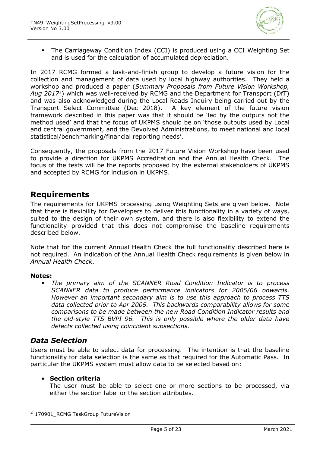

▪ The Carriageway Condition Index (CCI) is produced using a CCI Weighting Set and is used for the calculation of accumulated depreciation.

In 2017 RCMG formed a task-and-finish group to develop a future vision for the collection and management of data used by local highway authorities. They held a workshop and produced a paper (*Summary Proposals from Future Vision Workshop, Aug 2017*<sup>2</sup> ) which was well-received by RCMG and the Department for Transport (DfT) and was also acknowledged during the Local Roads Inquiry being carried out by the Transport Select Committee (Dec 2018). A key element of the future vision framework described in this paper was that it should be 'led by the outputs not the method used' and that the focus of UKPMS should be on 'those outputs used by Local and central government, and the Devolved Administrations, to meet national and local statistical/benchmarking/financial reporting needs'.

Consequently, the proposals from the 2017 Future Vision Workshop have been used to provide a direction for UKPMS Accreditation and the Annual Health Check. The focus of the tests will be the reports proposed by the external stakeholders of UKPMS and accepted by RCMG for inclusion in UKPMS.

## **Requirements**

The requirements for UKPMS processing using Weighting Sets are given below. Note that there is flexibility for Developers to deliver this functionality in a variety of ways, suited to the design of their own system, and there is also flexibility to extend the functionality provided that this does not compromise the baseline requirements described below.

Note that for the current Annual Health Check the full functionality described here is not required. An indication of the Annual Health Check requirements is given below in *Annual Health Check*.

#### **Notes:**

The primary aim of the SCANNER Road Condition Indicator is to process *SCANNER data to produce performance indicators for 2005/06 onwards. However an important secondary aim is to use this approach to process TTS data collected prior to Apr 2005. This backwards comparability allows for some comparisons to be made between the new Road Condition Indicator results and the old-style TTS BVPI 96. This is only possible where the older data have defects collected using coincident subsections.*

## *Data Selection*

Users must be able to select data for processing. The intention is that the baseline functionality for data selection is the same as that required for the Automatic Pass. In particular the UKPMS system must allow data to be selected based on:

#### **Section criteria**

The user must be able to select one or more sections to be processed, via either the section label or the section attributes.

<sup>&</sup>lt;sup>2</sup> 170901 RCMG TaskGroup FutureVision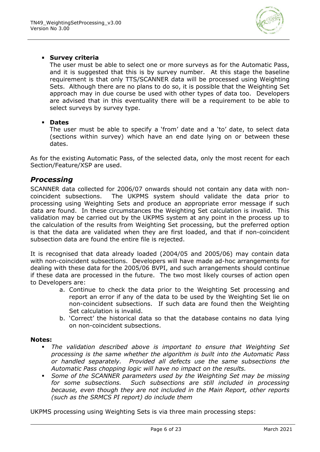

#### ▪ **Survey criteria**

The user must be able to select one or more surveys as for the Automatic Pass, and it is suggested that this is by survey number. At this stage the baseline requirement is that only TTS/SCANNER data will be processed using Weighting Sets. Although there are no plans to do so, it is possible that the Weighting Set approach may in due course be used with other types of data too. Developers are advised that in this eventuality there will be a requirement to be able to select surveys by survey type.

#### ▪ **Dates**

The user must be able to specify a 'from' date and a 'to' date, to select data (sections within survey) which have an end date lying on or between these dates.

As for the existing Automatic Pass, of the selected data, only the most recent for each Section/Feature/XSP are used.

#### *Processing*

SCANNER data collected for 2006/07 onwards should not contain any data with noncoincident subsections. The UKPMS system should validate the data prior to processing using Weighting Sets and produce an appropriate error message if such data are found. In these circumstances the Weighting Set calculation is invalid. This validation may be carried out by the UKPMS system at any point in the process up to the calculation of the results from Weighting Set processing, but the preferred option is that the data are validated when they are first loaded, and that if non-coincident subsection data are found the entire file is rejected.

It is recognised that data already loaded (2004/05 and 2005/06) may contain data with non-coincident subsections. Developers will have made ad-hoc arrangements for dealing with these data for the 2005/06 BVPI, and such arrangements should continue if these data are processed in the future. The two most likely courses of action open to Developers are:

- a. Continue to check the data prior to the Weighting Set processing and report an error if any of the data to be used by the Weighting Set lie on non-coincident subsections. If such data are found then the Weighting Set calculation is invalid.
- b. 'Correct' the historical data so that the database contains no data lying on non-coincident subsections.

#### **Notes:**

- *The validation described above is important to ensure that Weighting Set processing is the same whether the algorithm is built into the Automatic Pass or handled separately. Provided all defects use the same subsections the Automatic Pass chopping logic will have no impact on the results.*
- *Some of the SCANNER parameters used by the Weighting Set may be missing for some subsections. Such subsections are still included in processing because, even though they are not included in the Main Report, other reports (such as the SRMCS PI report) do include them*

UKPMS processing using Weighting Sets is via three main processing steps: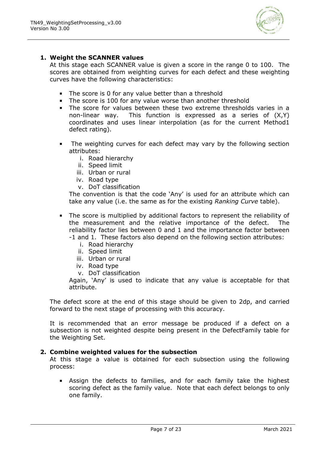

#### **1. Weight the SCANNER values**

At this stage each SCANNER value is given a score in the range 0 to 100. The scores are obtained from weighting curves for each defect and these weighting curves have the following characteristics:

- The score is 0 for any value better than a threshold
- The score is 100 for any value worse than another threshold
- The score for values between these two extreme thresholds varies in a non-linear way. This function is expressed as a series of (X,Y) coordinates and uses linear interpolation (as for the current Method1 defect rating).
- The weighting curves for each defect may vary by the following section attributes:
	- i. Road hierarchy
	- ii. Speed limit
	- iii. Urban or rural
	- iv. Road type
	- v. DoT classification

The convention is that the code 'Any' is used for an attribute which can take any value (i.e. the same as for the existing *Ranking Curve* table).

- The score is multiplied by additional factors to represent the reliability of the measurement and the relative importance of the defect. The reliability factor lies between 0 and 1 and the importance factor between -1 and 1. These factors also depend on the following section attributes:
	- i. Road hierarchy
	- ii. Speed limit
	- iii. Urban or rural
	- iv. Road type
	- v. DoT classification

Again, 'Any' is used to indicate that any value is acceptable for that attribute.

The defect score at the end of this stage should be given to 2dp, and carried forward to the next stage of processing with this accuracy.

It is recommended that an error message be produced if a defect on a subsection is not weighted despite being present in the DefectFamily table for the Weighting Set.

#### **2. Combine weighted values for the subsection**

At this stage a value is obtained for each subsection using the following process:

**E** Assign the defects to families, and for each family take the highest scoring defect as the family value. Note that each defect belongs to only one family.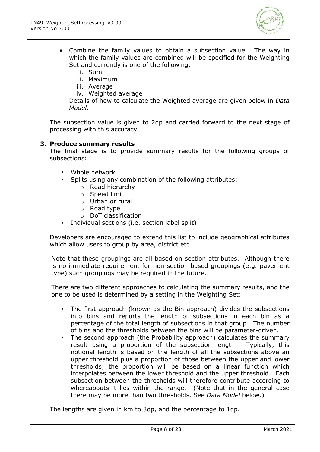

- Combine the family values to obtain a subsection value. The way in which the family values are combined will be specified for the Weighting Set and currently is one of the following:
	- i. Sum
	- ii. Maximum
	- iii. Average
	- iv. Weighted average

Details of how to calculate the Weighted average are given below in *Data Model*.

The subsection value is given to 2dp and carried forward to the next stage of processing with this accuracy.

#### **3. Produce summary results**

The final stage is to provide summary results for the following groups of subsections:

- Whole network
- Splits using any combination of the following attributes:
	- o Road hierarchy
	- o Speed limit
	- o Urban or rural
	- o Road type
	- o DoT classification
- Individual sections (i.e. section label split)

Developers are encouraged to extend this list to include geographical attributes which allow users to group by area, district etc.

Note that these groupings are all based on section attributes. Although there is no immediate requirement for non-section based groupings (e.g. pavement type) such groupings may be required in the future.

There are two different approaches to calculating the summary results, and the one to be used is determined by a setting in the Weighting Set:

- The first approach (known as the Bin approach) divides the subsections into bins and reports the length of subsections in each bin as a percentage of the total length of subsections in that group. The number of bins and the thresholds between the bins will be parameter-driven.
- The second approach (the Probability approach) calculates the summary result using a proportion of the subsection length. Typically, this notional length is based on the length of all the subsections above an upper threshold plus a proportion of those between the upper and lower thresholds; the proportion will be based on a linear function which interpolates between the lower threshold and the upper threshold. Each subsection between the thresholds will therefore contribute according to whereabouts it lies within the range. (Note that in the general case there may be more than two thresholds. See *Data Model* below.)

The lengths are given in km to 3dp, and the percentage to 1dp.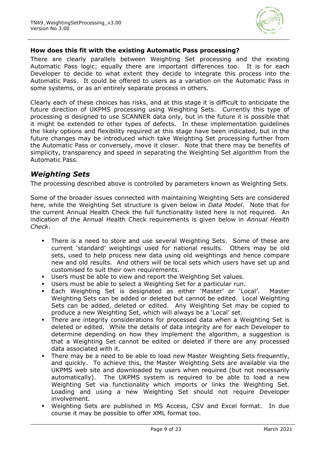

#### **How does this fit with the existing Automatic Pass processing?**

There are clearly parallels between Weighting Set processing and the existing Automatic Pass logic; equally there are important differences too. It is for each Developer to decide to what extent they decide to integrate this process into the Automatic Pass. It could be offered to users as a variation on the Automatic Pass in some systems, or as an entirely separate process in others.

Clearly each of these choices has risks, and at this stage it is difficult to anticipate the future direction of UKPMS processing using Weighting Sets. Currently this type of processing is designed to use SCANNER data only, but in the future it is possible that it might be extended to other types of defects. In these implementation guidelines the likely options and flexibility required at this stage have been indicated, but in the future changes may be introduced which take Weighting Set processing further from the Automatic Pass or conversely, move it closer. Note that there may be benefits of simplicity, transparency and speed in separating the Weighting Set algorithm from the Automatic Pass.

## *Weighting Sets*

The processing described above is controlled by parameters known as Weighting Sets.

Some of the broader issues connected with maintaining Weighting Sets are considered here, while the Weighting Set structure is given below in *Data Model*. Note that for the current Annual Health Check the full functionality listed here is not required. An indication of the Annual Health Check requirements is given below in *Annual Health Check*.

- There is a need to store and use several Weighting Sets. Some of these are current 'standard' weightings used for national results. Others may be old sets, used to help process new data using old weightings and hence compare new and old results. And others will be local sets which users have set up and customised to suit their own requirements.
- Users must be able to view and report the Weighting Set values.
- Users must be able to select a Weighting Set for a particular run.
- Each Weighting Set is designated as either 'Master' or 'Local'. Master Weighting Sets can be added or deleted but cannot be edited. Local Weighting Sets can be added, deleted or edited. Any Weighting Set may be copied to produce a new Weighting Set, which will always be a 'Local' set.
- There are integrity considerations for processed data when a Weighting Set is deleted or edited. While the details of data integrity are for each Developer to determine depending on how they implement the algorithm, a suggestion is that a Weighting Set cannot be edited or deleted if there are any processed data associated with it.
- There may be a need to be able to load new Master Weighting Sets frequently, and quickly. To achieve this, the Master Weighting Sets are available via the UKPMS web site and downloaded by users when required (but not necessarily automatically). The UKPMS system is required to be able to load a new Weighting Set via functionality which imports or links the Weighting Set. Loading and using a new Weighting Set should not require Developer involvement.
- Weighting Sets are published in MS Access, CSV and Excel format. In due course it may be possible to offer XML format too.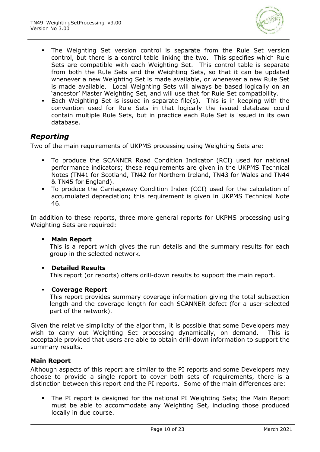

- **•** The Weighting Set version control is separate from the Rule Set version control, but there is a control table linking the two. This specifies which Rule Sets are compatible with each Weighting Set. This control table is separate from both the Rule Sets and the Weighting Sets, so that it can be updated whenever a new Weighting Set is made available, or whenever a new Rule Set is made available. Local Weighting Sets will always be based logically on an 'ancestor' Master Weighting Set, and will use that for Rule Set compatibility.
- Each Weighting Set is issued in separate file(s). This is in keeping with the convention used for Rule Sets in that logically the issued database could contain multiple Rule Sets, but in practice each Rule Set is issued in its own database.

## *Reporting*

Two of the main requirements of UKPMS processing using Weighting Sets are:

- To produce the SCANNER Road Condition Indicator (RCI) used for national performance indicators; these requirements are given in the UKPMS Technical Notes (TN41 for Scotland, TN42 for Northern Ireland, TN43 for Wales and TN44 & TN45 for England).
- To produce the Carriageway Condition Index (CCI) used for the calculation of accumulated depreciation; this requirement is given in UKPMS Technical Note 46.

In addition to these reports, three more general reports for UKPMS processing using Weighting Sets are required:

#### **Main Report**

This is a report which gives the run details and the summary results for each group in the selected network.

#### ▪ **Detailed Results**

This report (or reports) offers drill-down results to support the main report.

#### ▪ **Coverage Report**

This report provides summary coverage information giving the total subsection length and the coverage length for each SCANNER defect (for a user-selected part of the network).

Given the relative simplicity of the algorithm, it is possible that some Developers may wish to carry out Weighting Set processing dynamically, on demand. This is acceptable provided that users are able to obtain drill-down information to support the summary results.

#### **Main Report**

Although aspects of this report are similar to the PI reports and some Developers may choose to provide a single report to cover both sets of requirements, there is a distinction between this report and the PI reports. Some of the main differences are:

The PI report is designed for the national PI Weighting Sets; the Main Report must be able to accommodate any Weighting Set, including those produced locally in due course.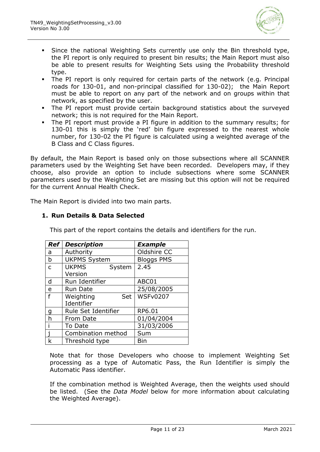

- **•** Since the national Weighting Sets currently use only the Bin threshold type, the PI report is only required to present bin results; the Main Report must also be able to present results for Weighting Sets using the Probability threshold type.
- The PI report is only required for certain parts of the network (e.g. Principal roads for 130-01, and non-principal classified for 130-02); the Main Report must be able to report on any part of the network and on groups within that network, as specified by the user.
- The PI report must provide certain background statistics about the surveyed network; this is not required for the Main Report.
- The PI report must provide a PI figure in addition to the summary results; for 130-01 this is simply the 'red' bin figure expressed to the nearest whole number, for 130-02 the PI figure is calculated using a weighted average of the B Class and C Class figures.

By default, the Main Report is based only on those subsections where all SCANNER parameters used by the Weighting Set have been recorded. Developers may, if they choose, also provide an option to include subsections where some SCANNER parameters used by the Weighting Set are missing but this option will not be required for the current Annual Health Check.

The Main Report is divided into two main parts.

#### **1. Run Details & Data Selected**

This part of the report contains the details and identifiers for the run.

| <b>Ref</b>   | <b>Description</b>     | <b>Example</b>    |
|--------------|------------------------|-------------------|
| a            | Authority              | Oldshire CC       |
| b            | <b>UKPMS System</b>    | <b>Bloggs PMS</b> |
| $\mathsf{C}$ | <b>UKPMS</b><br>System | 2.45              |
|              | Version                |                   |
| d            | Run Identifier         | ABC01             |
| e            | <b>Run Date</b>        | 25/08/2005        |
| f            | Weighting<br>Set       | <b>WSFv0207</b>   |
|              | Identifier             |                   |
| g            | Rule Set Identifier    | RP6.01            |
| h            | From Date              | 01/04/2004        |
|              | To Date                | 31/03/2006        |
|              | Combination method     | Sum               |
| k            | Threshold type         | Bin               |

Note that for those Developers who choose to implement Weighting Set processing as a type of Automatic Pass, the Run Identifier is simply the Automatic Pass identifier.

If the combination method is Weighted Average, then the weights used should be listed. (See the *Data Model* below for more information about calculating the Weighted Average).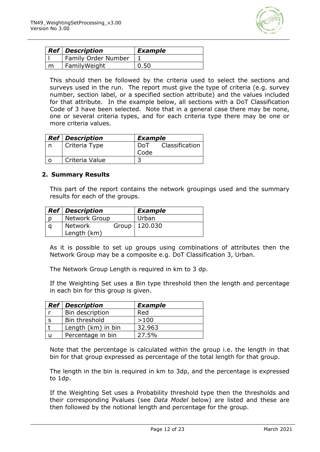

| <b>Ref</b> Description     | <b>Example</b> |
|----------------------------|----------------|
| <b>Family Order Number</b> |                |
| FamilyWeight               |                |

This should then be followed by the criteria used to select the sections and surveys used in the run. The report must give the type of criteria (e.g. survey number, section label, or a specified section attribute) and the values included for that attribute. In the example below, all sections with a DoT Classification Code of 3 have been selected. Note that in a general case there may be none, one or several criteria types, and for each criteria type there may be one or more criteria values.

|   | <b>Ref</b> Description |      | <b>Example</b> |  |
|---|------------------------|------|----------------|--|
|   | Criteria Type          | DoT  | Classification |  |
|   |                        | Code |                |  |
| ∩ | Criteria Value         |      |                |  |

#### **2. Summary Results**

This part of the report contains the network groupings used and the summary results for each of the groups.

| <b>Ref</b> Description        | <b>Example</b>  |
|-------------------------------|-----------------|
| <b>Network Group</b>          | Urban           |
| <b>Network</b><br>Length (km) | Group   120.030 |

As it is possible to set up groups using combinations of attributes then the Network Group may be a composite e.g. DoT Classification 3, Urban.

The Network Group Length is required in km to 3 dp.

If the Weighting Set uses a Bin type threshold then the length and percentage in each bin for this group is given.

| <b>Ref</b> Description | <b>Example</b> |
|------------------------|----------------|
| Bin description        | Red            |
| Bin threshold          | >100           |
| Length (km) in bin     | 32.963         |
| Percentage in bin      | 27.5%          |

Note that the percentage is calculated within the group i.e. the length in that bin for that group expressed as percentage of the total length for that group.

The length in the bin is required in km to 3dp, and the percentage is expressed to 1dp.

If the Weighting Set uses a Probability threshold type then the thresholds and their corresponding Pvalues (see *Data Model* below) are listed and these are then followed by the notional length and percentage for the group.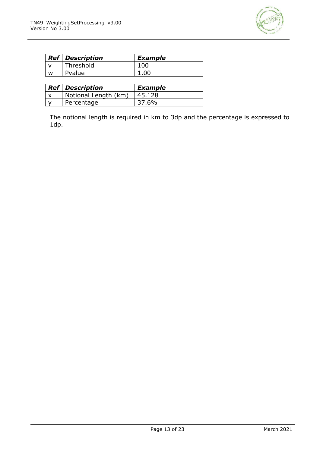

|   | <b>Ref</b> Description | <b>Example</b> |
|---|------------------------|----------------|
|   | Threshold              | 100            |
| w | Pvalue                 |                |

| <b>Ref</b> Description | <b>Example</b> |
|------------------------|----------------|
| Notional Length (km)   | 45.128         |
| Percentage             | 37.6%          |

The notional length is required in km to 3dp and the percentage is expressed to 1dp.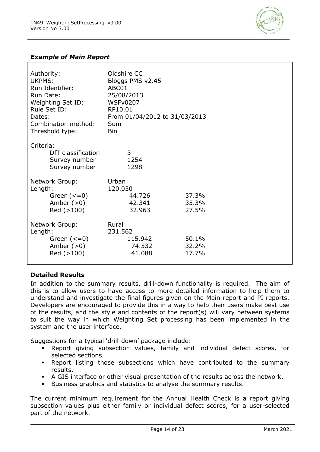

#### *Example of Main Report*

| Authority:<br>UKPMS:<br>Run Identifier:<br>Run Date:<br>Weighting Set ID:<br>Rule Set ID:<br>Dates:<br>Combination method:<br>Threshold type: | Oldshire CC<br>Bloggs PMS v2.45<br>ABC01<br>25/08/2013<br><b>WSFv0207</b><br>RP10.01<br>From 01/04/2012 to 31/03/2013<br>Sum<br><b>Bin</b> |                         |
|-----------------------------------------------------------------------------------------------------------------------------------------------|--------------------------------------------------------------------------------------------------------------------------------------------|-------------------------|
| Criteria:<br>DfT classification<br>Survey number<br>Survey number                                                                             | 3<br>1254<br>1298                                                                                                                          |                         |
| Network Group:<br>Length:<br>Green $(<=0)$<br>Amber $(>0)$<br>Red (>100)                                                                      | Urban<br>120.030<br>44.726<br>42.341<br>32.963                                                                                             | 37.3%<br>35.3%<br>27.5% |
| Network Group:<br>Length:<br>Green $(<=0)$<br>Amber $(>0)$<br>Red (>100)                                                                      | Rural<br>231.562<br>115.942<br>74.532<br>41.088                                                                                            | 50.1%<br>32.2%<br>17.7% |

#### **Detailed Results**

In addition to the summary results, drill-down functionality is required. The aim of this is to allow users to have access to more detailed information to help them to understand and investigate the final figures given on the Main report and PI reports. Developers are encouraged to provide this in a way to help their users make best use of the results, and the style and contents of the report(s) will vary between systems to suit the way in which Weighting Set processing has been implemented in the system and the user interface.

Suggestions for a typical 'drill-down' package include:

- Report giving subsection values, family and individual defect scores, for selected sections.
- Report listing those subsections which have contributed to the summary results.
- A GIS interface or other visual presentation of the results across the network.
- Business graphics and statistics to analyse the summary results.

The current minimum requirement for the Annual Health Check is a report giving subsection values plus either family or individual defect scores, for a user-selected part of the network.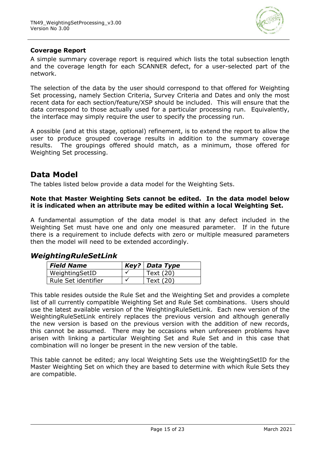

#### **Coverage Report**

A simple summary coverage report is required which lists the total subsection length and the coverage length for each SCANNER defect, for a user-selected part of the network.

The selection of the data by the user should correspond to that offered for Weighting Set processing, namely Section Criteria, Survey Criteria and Dates and only the most recent data for each section/feature/XSP should be included. This will ensure that the data correspond to those actually used for a particular processing run. Equivalently, the interface may simply require the user to specify the processing run.

A possible (and at this stage, optional) refinement, is to extend the report to allow the user to produce grouped coverage results in addition to the summary coverage results. The groupings offered should match, as a minimum, those offered for Weighting Set processing.

## **Data Model**

The tables listed below provide a data model for the Weighting Sets.

#### **Note that Master Weighting Sets cannot be edited. In the data model below it is indicated when an attribute may be edited within a local Weighting Set.**

A fundamental assumption of the data model is that any defect included in the Weighting Set must have one and only one measured parameter. If in the future there is a requirement to include defects with zero or multiple measured parameters then the model will need to be extended accordingly.

#### *WeightingRuleSetLink*

| <b>Field Name</b>   | Key?   Data Type |
|---------------------|------------------|
| WeightingSetID      | Text (20)        |
| Rule Set identifier | Text (20)        |

This table resides outside the Rule Set and the Weighting Set and provides a complete list of all currently compatible Weighting Set and Rule Set combinations. Users should use the latest available version of the WeightingRuleSetLink. Each new version of the WeightingRuleSetLink entirely replaces the previous version and although generally the new version is based on the previous version with the addition of new records, this cannot be assumed. There may be occasions when unforeseen problems have arisen with linking a particular Weighting Set and Rule Set and in this case that combination will no longer be present in the new version of the table.

This table cannot be edited; any local Weighting Sets use the WeightingSetID for the Master Weighting Set on which they are based to determine with which Rule Sets they are compatible.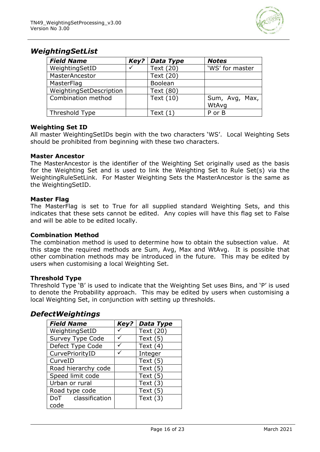

## *WeightingSetList*

| <b>Field Name</b>       | Key? | Data Type  | <b>Notes</b>    |
|-------------------------|------|------------|-----------------|
| WeightingSetID          |      | Text (20)  | 'WS' for master |
| MasterAncestor          |      | Text (20)  |                 |
| MasterFlag              |      | Boolean    |                 |
| WeightingSetDescription |      | Text (80)  |                 |
| Combination method      |      | Text (10)  | Sum, Avg, Max,  |
|                         |      |            | WtAvg           |
| Threshold Type          |      | Text $(1)$ | P or B          |

#### **Weighting Set ID**

All master WeightingSetIDs begin with the two characters 'WS'. Local Weighting Sets should be prohibited from beginning with these two characters.

#### **Master Ancestor**

The MasterAncestor is the identifier of the Weighting Set originally used as the basis for the Weighting Set and is used to link the Weighting Set to Rule Set(s) via the WeightingRuleSetLink. For Master Weighting Sets the MasterAncestor is the same as the WeightingSetID.

#### **Master Flag**

The MasterFlag is set to True for all supplied standard Weighting Sets, and this indicates that these sets cannot be edited. Any copies will have this flag set to False and will be able to be edited locally.

#### **Combination Method**

The combination method is used to determine how to obtain the subsection value. At this stage the required methods are Sum, Avg, Max and WtAvg. It is possible that other combination methods may be introduced in the future. This may be edited by users when customising a local Weighting Set.

#### **Threshold Type**

Threshold Type 'B' is used to indicate that the Weighting Set uses Bins, and 'P' is used to denote the Probability approach. This may be edited by users when customising a local Weighting Set, in conjunction with setting up thresholds.

#### *DefectWeightings*

| <b>Field Name</b>   | Key? | Data Type  |
|---------------------|------|------------|
| WeightingSetID      |      | Text (20)  |
| Survey Type Code    |      | Text $(5)$ |
| Defect Type Code    |      | Text $(4)$ |
| CurvePriorityID     |      | Integer    |
| CurveID             |      | Text $(5)$ |
| Road hierarchy code |      | Text $(5)$ |
| Speed limit code    |      | Text $(5)$ |
| Urban or rural      |      | Text $(3)$ |
| Road type code      |      | Text $(5)$ |
| DoT classification  |      | Text $(3)$ |
| code                |      |            |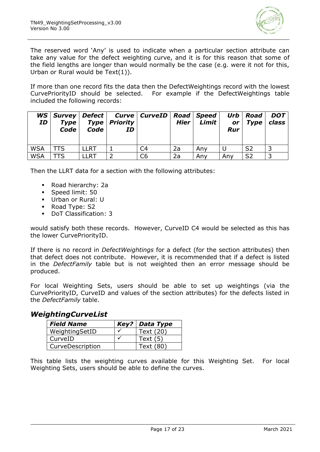

The reserved word 'Any' is used to indicate when a particular section attribute can take any value for the defect weighting curve, and it is for this reason that some of the field lengths are longer than would normally be the case (e.g. were it not for this, Urban or Rural would be Text(1)).

If more than one record fits the data then the DefectWeightings record with the lowest CurvePriorityID should be selected. For example if the DefectWeightings table included the following records:

| WS  <br>ID | <b>Type</b><br>Code | Code | <b>Type   Priority  </b><br>ID | Survey   Defect   Curve   CurveID   Road   Speed | Hier | Limit | <b>or</b><br><b>Rur</b> | Urb   Road<br><b>Type</b> | <b>DOT</b><br>class |
|------------|---------------------|------|--------------------------------|--------------------------------------------------|------|-------|-------------------------|---------------------------|---------------------|
| <b>WSA</b> | TTS                 | LLRT |                                | C4                                               | 2a   | Any   |                         | S <sub>2</sub>            |                     |
| <b>WSA</b> | TTS                 | LLRT |                                | C6                                               | 2a   | Any   | Any                     | S <sub>2</sub>            |                     |

Then the LLRT data for a section with the following attributes:

- Road hierarchy: 2a
- Speed limit: 50
- Urban or Rural: U
- Road Type: S2
- DoT Classification: 3

would satisfy both these records. However, CurveID C4 would be selected as this has the lower CurvePriorityID.

If there is no record in *DefectWeightings* for a defect (for the section attributes) then that defect does not contribute. However, it is recommended that if a defect is listed in the *DefectFamily* table but is not weighted then an error message should be produced.

For local Weighting Sets, users should be able to set up weightings (via the CurvePriorityID, CurveID and values of the section attributes) for the defects listed in the *DefectFamily* table.

#### *WeightingCurveList*

| <b>Field Name</b> | Key?   Data Type |
|-------------------|------------------|
| WeightingSetID    | Text (20)        |
| l CurveID         | Text $(5)$       |
| CurveDescription  | Text (80)        |

This table lists the weighting curves available for this Weighting Set. For local Weighting Sets, users should be able to define the curves.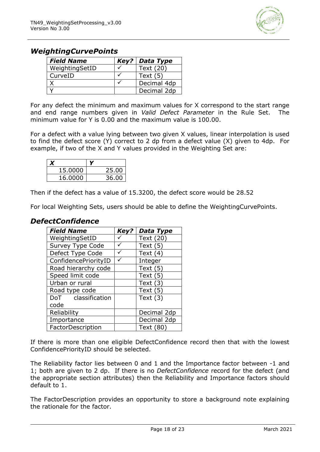

## *WeightingCurvePoints*

| <b>Field Name</b> | Key?   Data Type |
|-------------------|------------------|
| WeightingSetID    | Text (20)        |
| CurveID           | Text $(5)$       |
|                   | Decimal 4dp      |
|                   | Decimal 2dp      |

For any defect the minimum and maximum values for X correspond to the start range and end range numbers given in *Valid Defect Parameter* in the Rule Set. The minimum value for Y is 0.00 and the maximum value is 100.00.

For a defect with a value lying between two given X values, linear interpolation is used to find the defect score (Y) correct to 2 dp from a defect value (X) given to 4dp. For example, if two of the X and Y values provided in the Weighting Set are:

| 15,0000 | 25.00 |
|---------|-------|
| 16.0000 | 36.00 |

Then if the defect has a value of 15.3200, the defect score would be 28.52

For local Weighting Sets, users should be able to define the WeightingCurvePoints.

## *DefectConfidence*

| <b>Field Name</b>    | Key? | <b>Data Type</b> |
|----------------------|------|------------------|
| WeightingSetID       |      | Text (20)        |
| Survey Type Code     |      | Text $(5)$       |
| Defect Type Code     |      | Text $(4)$       |
| ConfidencePriorityID |      | Integer          |
| Road hierarchy code  |      | Text $(5)$       |
| Speed limit code     |      | Text $(5)$       |
| Urban or rural       |      | Text $(3)$       |
| Road type code       |      | Text $(5)$       |
| DoT classification   |      | Text $(3)$       |
| code                 |      |                  |
| Reliability          |      | Decimal 2dp      |
| Importance           |      | Decimal 2dp      |
| FactorDescription    |      | Text (80)        |

If there is more than one eligible DefectConfidence record then that with the lowest ConfidencePriorityID should be selected.

The Reliability factor lies between 0 and 1 and the Importance factor between -1 and 1; both are given to 2 dp. If there is no *DefectConfidence* record for the defect (and the appropriate section attributes) then the Reliability and Importance factors should default to 1.

The FactorDescription provides an opportunity to store a background note explaining the rationale for the factor.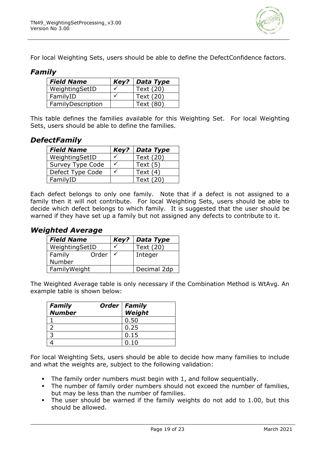

For local Weighting Sets, users should be able to define the DefectConfidence factors.

## *Family*

| Field Name        | $Key?$ Data Type |
|-------------------|------------------|
| WeightingSetID    | Text (20)        |
| FamilyID          | Text (20)        |
| FamilyDescription | Text (80)        |

This table defines the families available for this Weighting Set. For local Weighting Sets, users should be able to define the families.

## *DefectFamily*

| <b>Field Name</b> | Key? | Data Type  |
|-------------------|------|------------|
| WeightingSetID    |      | Text (20)  |
| Survey Type Code  |      | Text $(5)$ |
| Defect Type Code  |      | Text $(4)$ |
| FamilyID          |      | Text (20)  |

Each defect belongs to only one family. Note that if a defect is not assigned to a family then it will not contribute. For local Weighting Sets, users should be able to decide which defect belongs to which family. It is suggested that the user should be warned if they have set up a family but not assigned any defects to contribute to it.

#### *Weighted Average*

| <b>Field Name</b> | Key?         | Data Type   |
|-------------------|--------------|-------------|
| WeightingSetID    |              | Text (20)   |
| Order<br>Family   | $\checkmark$ | Integer     |
| Number            |              |             |
| FamilyWeight      |              | Decimal 2dp |

The Weighted Average table is only necessary if the Combination Method is WtAvg. An example table is shown below:

| <b>Family</b> | Order   Family |
|---------------|----------------|
| <b>Number</b> | Weight         |
|               | 0.50           |
|               | 0.25           |
|               | 0.15           |
|               | 0.10           |

For local Weighting Sets, users should be able to decide how many families to include and what the weights are, subject to the following validation:

- The family order numbers must begin with 1, and follow sequentially.
- The number of family order numbers should not exceed the number of families, but may be less than the number of families.
- The user should be warned if the family weights do not add to 1.00, but this should be allowed.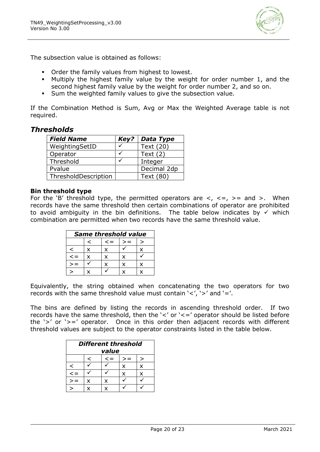

The subsection value is obtained as follows:

- Order the family values from highest to lowest.
- Multiply the highest family value by the weight for order number 1, and the second highest family value by the weight for order number 2, and so on.
- Sum the weighted family values to give the subsection value.

If the Combination Method is Sum, Avg or Max the Weighted Average table is not required.

## *Thresholds*

| <b>Field Name</b>    | Key? | Data Type   |
|----------------------|------|-------------|
| WeightingSetID       |      | Text (20)   |
| Operator             |      | Text $(2)$  |
| Threshold            |      | Integer     |
| Pvalue               |      | Decimal 2dp |
| ThresholdDescription |      | Text (80)   |

#### **Bin threshold type**

For the 'B' threshold type, the permitted operators are  $\lt$ ,  $\lt$  =,  $\gt$  = and  $\gt$ . When records have the same threshold then certain combinations of operator are prohibited to avoid ambiguity in the bin definitions. The table below indicates by <del>V</del> which combination are permitted when two records have the same threshold value.

| <b>Same threshold value</b> |   |   |   |  |  |  |
|-----------------------------|---|---|---|--|--|--|
| $\epsilon =$                |   |   |   |  |  |  |
|                             | x | x |   |  |  |  |
| ⊂ >                         | x | x | x |  |  |  |
|                             |   |   |   |  |  |  |
|                             |   |   |   |  |  |  |

Equivalently, the string obtained when concatenating the two operators for two records with the same threshold value must contain  $\langle \langle \cdot, \cdot \rangle \rangle$  and  $\langle \cdot \rangle = \langle \cdot \rangle$ .

The bins are defined by listing the records in ascending threshold order. If two records have the same threshold, then the '<' or '<=' operator should be listed before the '>' or '>=' operator. Once in this order then adjacent records with different threshold values are subject to the operator constraints listed in the table below.

| <b>Different threshold</b><br>value |   |    |   |   |  |
|-------------------------------------|---|----|---|---|--|
|                                     | ╯ | <= |   | > |  |
| ✓                                   |   |    | x | x |  |
| $\leq$ $=$                          |   |    | x | x |  |
|                                     | x | x  |   |   |  |
|                                     |   | x  |   |   |  |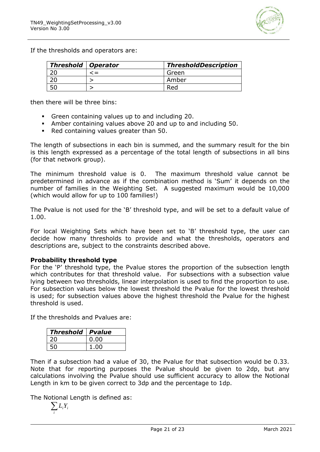

If the thresholds and operators are:

| <b>Threshold   Operator</b> | <b>ThresholdDescription</b> |  |
|-----------------------------|-----------------------------|--|
|                             | Green                       |  |
|                             | Amber                       |  |
|                             | Red                         |  |

then there will be three bins:

- Green containing values up to and including 20.
- Amber containing values above 20 and up to and including 50.
- Red containing values greater than 50.

The length of subsections in each bin is summed, and the summary result for the bin is this length expressed as a percentage of the total length of subsections in all bins (for that network group).

The minimum threshold value is 0. The maximum threshold value cannot be predetermined in advance as if the combination method is 'Sum' it depends on the number of families in the Weighting Set. A suggested maximum would be 10,000 (which would allow for up to 100 families!)

The Pvalue is not used for the 'B' threshold type, and will be set to a default value of 1.00.

For local Weighting Sets which have been set to 'B' threshold type, the user can decide how many thresholds to provide and what the thresholds, operators and descriptions are, subject to the constraints described above.

#### **Probability threshold type**

For the 'P' threshold type, the Pvalue stores the proportion of the subsection length which contributes for that threshold value. For subsections with a subsection value lying between two thresholds, linear interpolation is used to find the proportion to use. For subsection values below the lowest threshold the Pvalue for the lowest threshold is used; for subsection values above the highest threshold the Pvalue for the highest threshold is used.

If the thresholds and Pvalues are:

| <b>Threshold</b> | <b>Pvalue</b> |
|------------------|---------------|
| 20               | 0.00          |
|                  | 1.00          |

Then if a subsection had a value of 30, the Pvalue for that subsection would be 0.33. Note that for reporting purposes the Pvalue should be given to 2dp, but any calculations involving the Pvalue should use sufficient accuracy to allow the Notional Length in km to be given correct to 3dp and the percentage to 1dp.

The Notional Length is defined as:

$$
\sum_i L_i Y_i
$$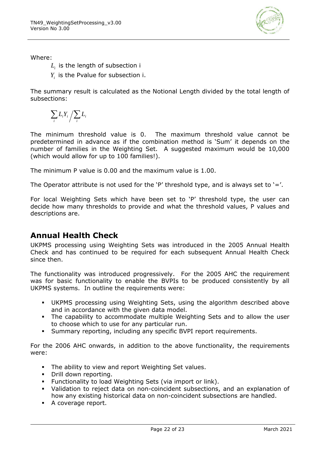

- $L_i^{\phantom i}$  is the length of subsection i
- *Yi* is the Pvalue for subsection i.

The summary result is calculated as the Notional Length divided by the total length of subsections:

 $\sum_i L_i Y_i \bigg/ \sum_i$ *i i*  $L_i Y_i / \sum L$ 

The minimum threshold value is 0. The maximum threshold value cannot be predetermined in advance as if the combination method is 'Sum' it depends on the number of families in the Weighting Set. A suggested maximum would be 10,000 (which would allow for up to 100 families!).

The minimum P value is 0.00 and the maximum value is 1.00.

The Operator attribute is not used for the 'P' threshold type, and is always set to '='.

For local Weighting Sets which have been set to 'P' threshold type, the user can decide how many thresholds to provide and what the threshold values, P values and descriptions are.

## **Annual Health Check**

UKPMS processing using Weighting Sets was introduced in the 2005 Annual Health Check and has continued to be required for each subsequent Annual Health Check since then.

The functionality was introduced progressively. For the 2005 AHC the requirement was for basic functionality to enable the BVPIs to be produced consistently by all UKPMS systems. In outline the requirements were:

- UKPMS processing using Weighting Sets, using the algorithm described above and in accordance with the given data model.
- The capability to accommodate multiple Weighting Sets and to allow the user to choose which to use for any particular run.
- Summary reporting, including any specific BVPI report requirements.

For the 2006 AHC onwards, in addition to the above functionality, the requirements were:

- The ability to view and report Weighting Set values.
- Drill down reporting.
- Functionality to load Weighting Sets (via import or link).
- Validation to reject data on non-coincident subsections, and an explanation of how any existing historical data on non-coincident subsections are handled.
- A coverage report.